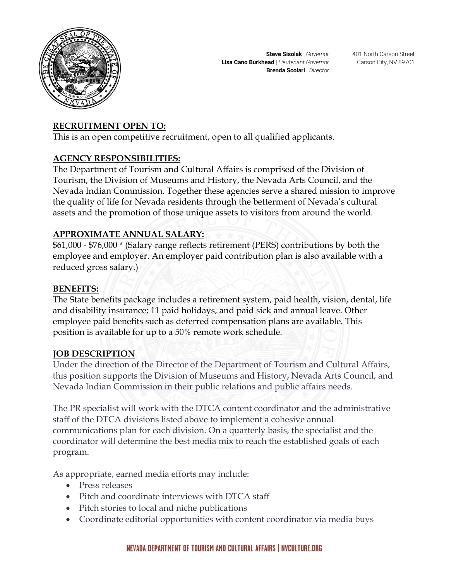

## **RECRUITMENT OPEN TO:**

This is an open competitive recruitment, open to all qualified applicants.

### **AGENCY RESPONSIBILITIES:**

The Department of Tourism and Cultural Affairs is comprised of the Division of Tourism, the Division of Museums and History, the Nevada Arts Council, and the Nevada Indian Commission. Together these agencies serve a shared mission to improve the quality of life for Nevada residents through the betterment of Nevada's cultural assets and the promotion of those unique assets to visitors from around the world.

### **APPROXIMATE ANNUAL SALARY:**

\$61,000 - \$76,000 \* (Salary range reflects retirement (PERS) contributions by both the employee and employer. An employer paid contribution plan is also available with a reduced gross salary.)

#### **BENEFITS:**

The State benefits package includes a retirement system, paid health, vision, dental, life and disability insurance; 11 paid holidays, and paid sick and annual leave. Other employee paid benefits such as deferred compensation plans are available. This position is available for up to a 50% remote work schedule.

#### **JOB DESCRIPTION**

Under the direction of the Director of the Department of Tourism and Cultural Affairs, this position supports the Division of Museums and History, Nevada Arts Council, and Nevada Indian Commission in their public relations and public affairs needs.

The PR specialist will work with the DTCA content coordinator and the administrative staff of the DTCA divisions listed above to implement a cohesive annual communications plan for each division. On a quarterly basis, the specialist and the coordinator will determine the best media mix to reach the established goals of each program.

As appropriate, earned media efforts may include:

- Press releases
- Pitch and coordinate interviews with DTCA staff
- Pitch stories to local and niche publications
- Coordinate editorial opportunities with content coordinator via media buys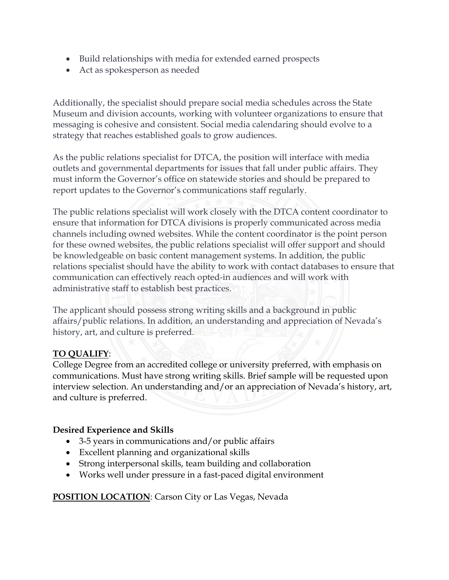- Build relationships with media for extended earned prospects
- Act as spokesperson as needed

Additionally, the specialist should prepare social media schedules across the State Museum and division accounts, working with volunteer organizations to ensure that messaging is cohesive and consistent. Social media calendaring should evolve to a strategy that reaches established goals to grow audiences.

As the public relations specialist for DTCA, the position will interface with media outlets and governmental departments for issues that fall under public affairs. They must inform the Governor's office on statewide stories and should be prepared to report updates to the Governor's communications staff regularly.

The public relations specialist will work closely with the DTCA content coordinator to ensure that information for DTCA divisions is properly communicated across media channels including owned websites. While the content coordinator is the point person for these owned websites, the public relations specialist will offer support and should be knowledgeable on basic content management systems. In addition, the public relations specialist should have the ability to work with contact databases to ensure that communication can effectively reach opted-in audiences and will work with administrative staff to establish best practices.

The applicant should possess strong writing skills and a background in public affairs/public relations. In addition, an understanding and appreciation of Nevada's history, art, and culture is preferred.

## **TO QUALIFY**:

College Degree from an accredited college or university preferred, with emphasis on communications. Must have strong writing skills. Brief sample will be requested upon interview selection. An understanding and/or an appreciation of Nevada's history, art, and culture is preferred.

## **Desired Experience and Skills**

- 3-5 years in communications and/or public affairs
- Excellent planning and organizational skills
- Strong interpersonal skills, team building and collaboration
- Works well under pressure in a fast-paced digital environment

**POSITION LOCATION:** Carson City or Las Vegas, Nevada